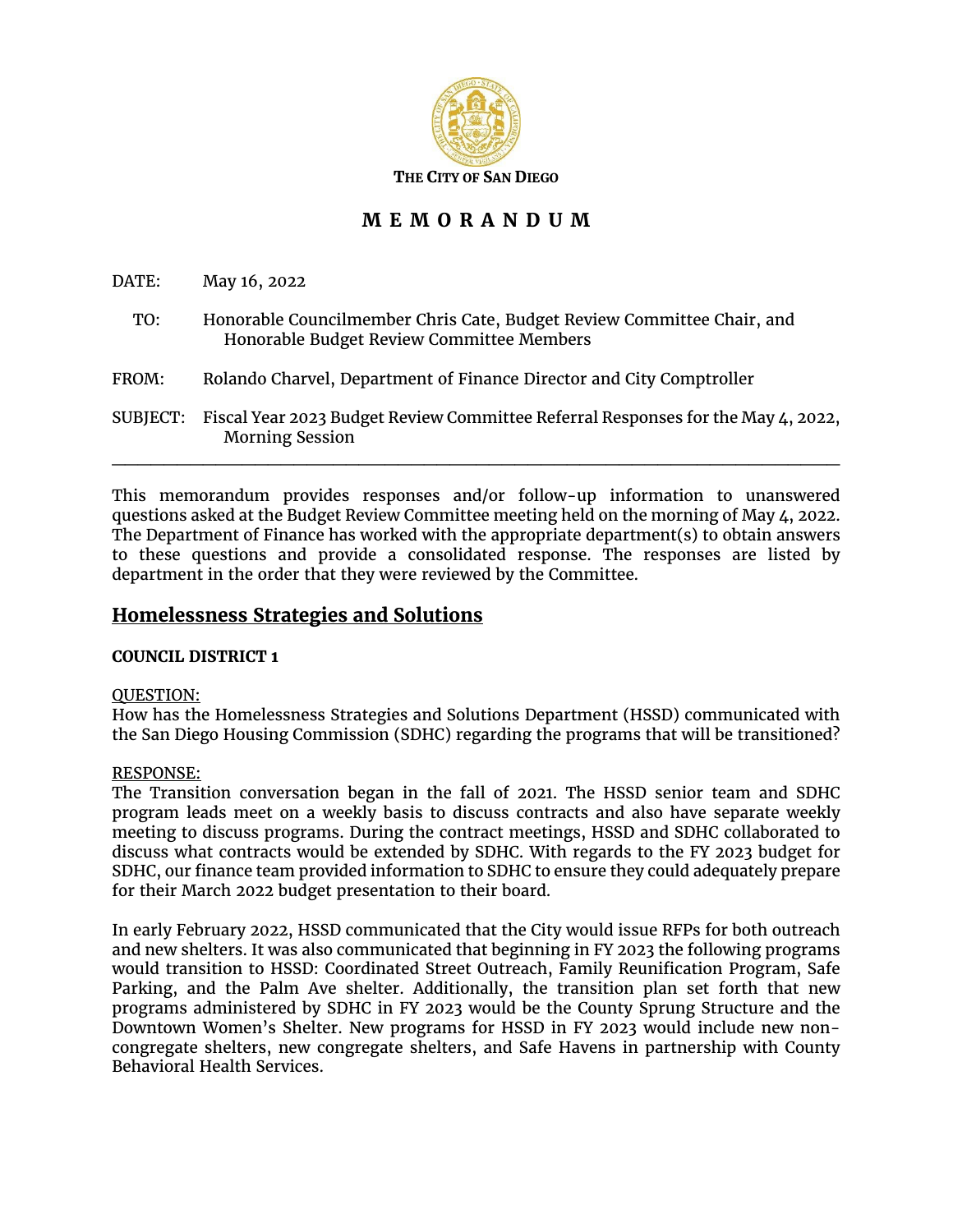

# **M E M O R A N D U M**

DATE: May 16, 2022

- TO: Honorable Councilmember Chris Cate, Budget Review Committee Chair, and Honorable Budget Review Committee Members
- FROM: Rolando Charvel, Department of Finance Director and City Comptroller
- SUBJECT: Fiscal Year 2023 Budget Review Committee Referral Responses for the May 4, 2022, Morning Session  $\_$  , and the state of the state of the state of the state of the state of the state of the state of the state of the state of the state of the state of the state of the state of the state of the state of the state of the

This memorandum provides responses and/or follow-up information to unanswered questions asked at the Budget Review Committee meeting held on the morning of May 4, 2022. The Department of Finance has worked with the appropriate department(s) to obtain answers to these questions and provide a consolidated response. The responses are listed by department in the order that they were reviewed by the Committee.

## **Homelessness Strategies and Solutions**

## **COUNCIL DISTRICT 1**

#### QUESTION:

How has the Homelessness Strategies and Solutions Department (HSSD) communicated with the San Diego Housing Commission (SDHC) regarding the programs that will be transitioned?

## RESPONSE:

The Transition conversation began in the fall of 2021. The HSSD senior team and SDHC program leads meet on a weekly basis to discuss contracts and also have separate weekly meeting to discuss programs. During the contract meetings, HSSD and SDHC collaborated to discuss what contracts would be extended by SDHC. With regards to the FY 2023 budget for SDHC, our finance team provided information to SDHC to ensure they could adequately prepare for their March 2022 budget presentation to their board.

In early February 2022, HSSD communicated that the City would issue RFPs for both outreach and new shelters. It was also communicated that beginning in FY 2023 the following programs would transition to HSSD: Coordinated Street Outreach, Family Reunification Program, Safe Parking, and the Palm Ave shelter. Additionally, the transition plan set forth that new programs administered by SDHC in FY 2023 would be the County Sprung Structure and the Downtown Women's Shelter. New programs for HSSD in FY 2023 would include new noncongregate shelters, new congregate shelters, and Safe Havens in partnership with County Behavioral Health Services.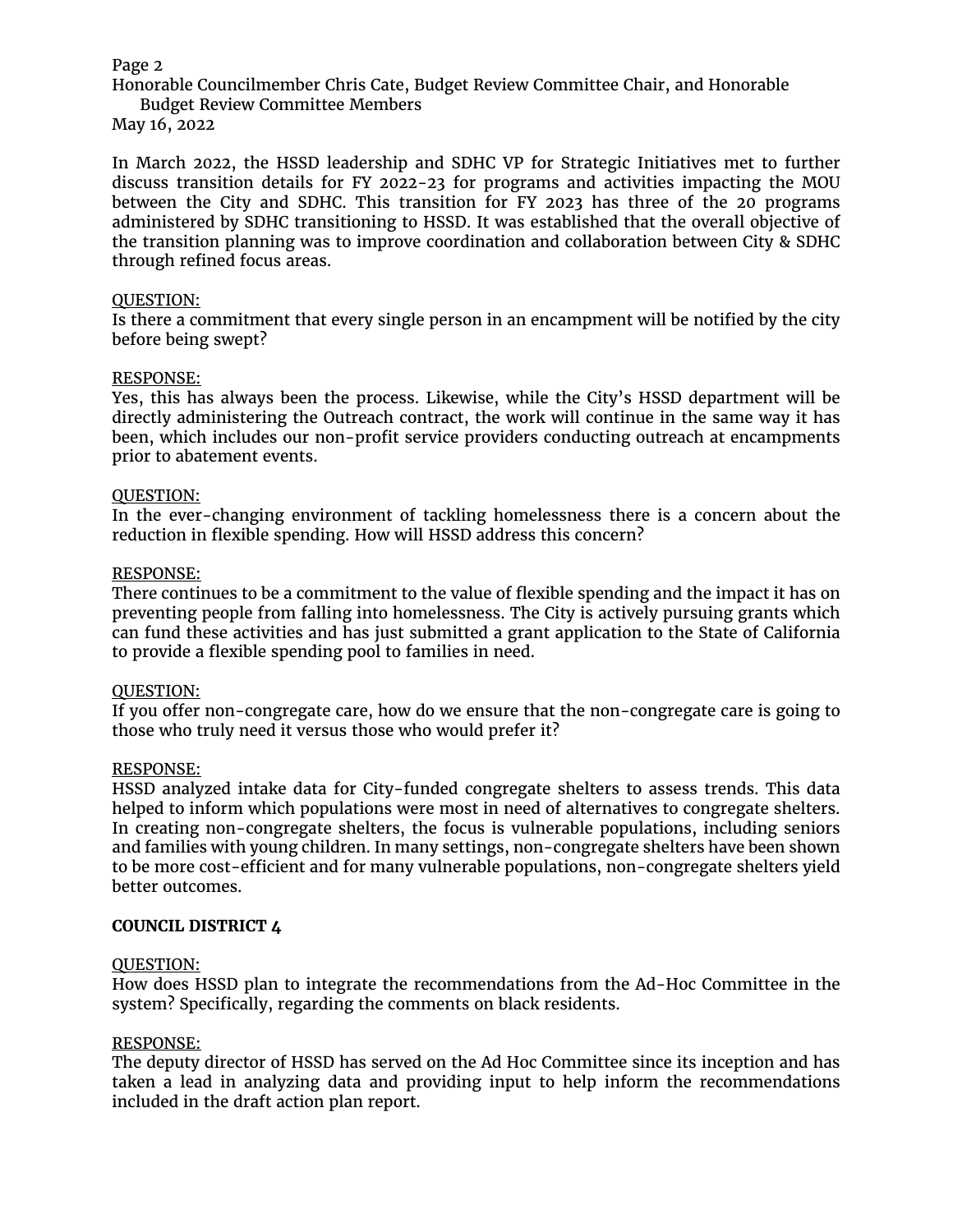Honorable Councilmember Chris Cate, Budget Review Committee Chair, and Honorable Budget Review Committee Members

May 16, 2022

In March 2022, the HSSD leadership and SDHC VP for Strategic Initiatives met to further discuss transition details for FY 2022-23 for programs and activities impacting the MOU between the City and SDHC. This transition for FY 2023 has three of the 20 programs administered by SDHC transitioning to HSSD. It was established that the overall objective of the transition planning was to improve coordination and collaboration between City & SDHC through refined focus areas.

#### QUESTION:

Is there a commitment that every single person in an encampment will be notified by the city before being swept?

#### RESPONSE:

Yes, this has always been the process. Likewise, while the City's HSSD department will be directly administering the Outreach contract, the work will continue in the same way it has been, which includes our non-profit service providers conducting outreach at encampments prior to abatement events.

### QUESTION:

In the ever-changing environment of tackling homelessness there is a concern about the reduction in flexible spending. How will HSSD address this concern?

#### RESPONSE:

There continues to be a commitment to the value of flexible spending and the impact it has on preventing people from falling into homelessness. The City is actively pursuing grants which can fund these activities and has just submitted a grant application to the State of California to provide a flexible spending pool to families in need.

#### QUESTION:

If you offer non-congregate care, how do we ensure that the non-congregate care is going to those who truly need it versus those who would prefer it?

#### RESPONSE:

HSSD analyzed intake data for City-funded congregate shelters to assess trends. This data helped to inform which populations were most in need of alternatives to congregate shelters. In creating non-congregate shelters, the focus is vulnerable populations, including seniors and families with young children. In many settings, non-congregate shelters have been shown to be more cost-efficient and for many vulnerable populations, non-congregate shelters yield better outcomes.

#### **COUNCIL DISTRICT 4**

#### QUESTION:

How does HSSD plan to integrate the recommendations from the Ad-Hoc Committee in the system? Specifically, regarding the comments on black residents.

#### RESPONSE:

The deputy director of HSSD has served on the Ad Hoc Committee since its inception and has taken a lead in analyzing data and providing input to help inform the recommendations included in the draft action plan report.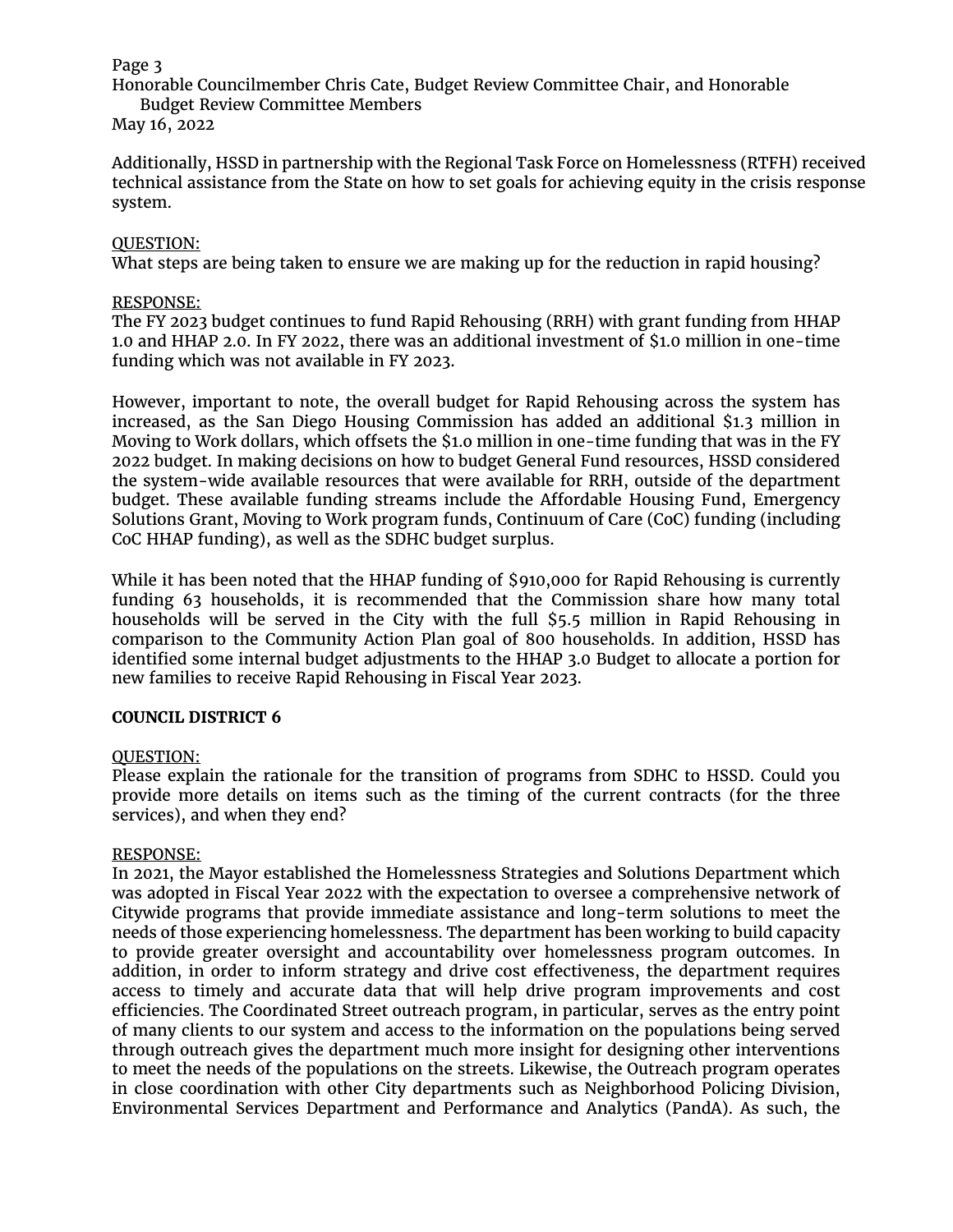Honorable Councilmember Chris Cate, Budget Review Committee Chair, and Honorable Budget Review Committee Members

#### May 16, 2022

Additionally, HSSD in partnership with the Regional Task Force on Homelessness (RTFH) received technical assistance from the State on how to set goals for achieving equity in the crisis response system.

## QUESTION:

What steps are being taken to ensure we are making up for the reduction in rapid housing?

#### RESPONSE:

The FY 2023 budget continues to fund Rapid Rehousing (RRH) with grant funding from HHAP 1.0 and HHAP 2.0. In FY 2022, there was an additional investment of \$1.0 million in one-time funding which was not available in FY 2023.

However, important to note, the overall budget for Rapid Rehousing across the system has increased, as the San Diego Housing Commission has added an additional \$1.3 million in Moving to Work dollars, which offsets the \$1.o million in one-time funding that was in the FY 2022 budget. In making decisions on how to budget General Fund resources, HSSD considered the system-wide available resources that were available for RRH, outside of the department budget. These available funding streams include the Affordable Housing Fund, Emergency Solutions Grant, Moving to Work program funds, Continuum of Care (CoC) funding (including CoC HHAP funding), as well as the SDHC budget surplus.

While it has been noted that the HHAP funding of \$910,000 for Rapid Rehousing is currently funding 63 households, it is recommended that the Commission share how many total households will be served in the City with the full \$5.5 million in Rapid Rehousing in comparison to the Community Action Plan goal of 800 households. In addition, HSSD has identified some internal budget adjustments to the HHAP 3.0 Budget to allocate a portion for new families to receive Rapid Rehousing in Fiscal Year 2023.

## **COUNCIL DISTRICT 6**

#### QUESTION:

Please explain the rationale for the transition of programs from SDHC to HSSD. Could you provide more details on items such as the timing of the current contracts (for the three services), and when they end?

#### RESPONSE:

In 2021, the Mayor established the Homelessness Strategies and Solutions Department which was adopted in Fiscal Year 2022 with the expectation to oversee a comprehensive network of Citywide programs that provide immediate assistance and long-term solutions to meet the needs of those experiencing homelessness. The department has been working to build capacity to provide greater oversight and accountability over homelessness program outcomes. In addition, in order to inform strategy and drive cost effectiveness, the department requires access to timely and accurate data that will help drive program improvements and cost efficiencies. The Coordinated Street outreach program, in particular, serves as the entry point of many clients to our system and access to the information on the populations being served through outreach gives the department much more insight for designing other interventions to meet the needs of the populations on the streets. Likewise, the Outreach program operates in close coordination with other City departments such as Neighborhood Policing Division, Environmental Services Department and Performance and Analytics (PandA). As such, the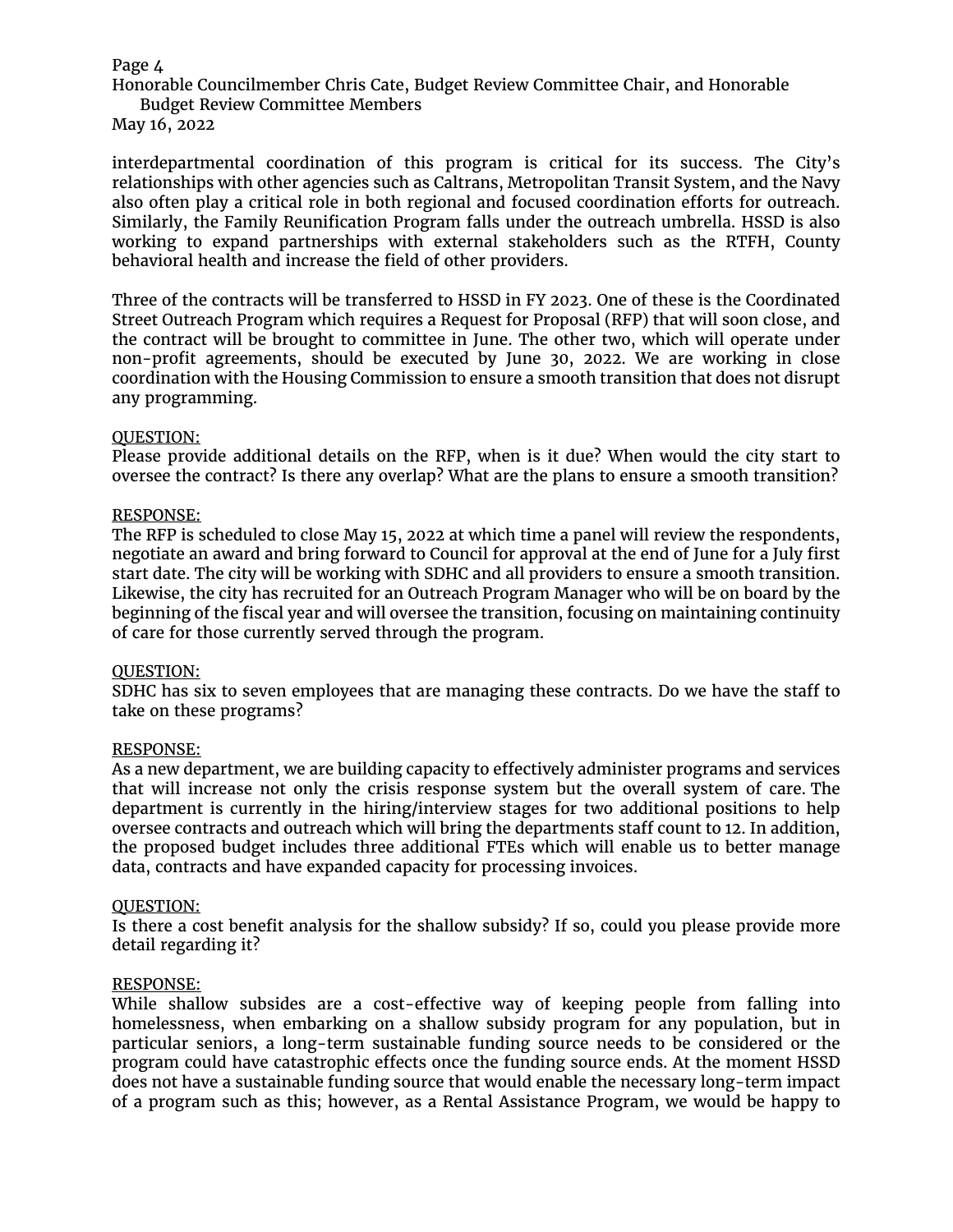Honorable Councilmember Chris Cate, Budget Review Committee Chair, and Honorable Budget Review Committee Members

May 16, 2022

interdepartmental coordination of this program is critical for its success. The City's relationships with other agencies such as Caltrans, Metropolitan Transit System, and the Navy also often play a critical role in both regional and focused coordination efforts for outreach. Similarly, the Family Reunification Program falls under the outreach umbrella. HSSD is also working to expand partnerships with external stakeholders such as the RTFH, County behavioral health and increase the field of other providers.

Three of the contracts will be transferred to HSSD in FY 2023. One of these is the Coordinated Street Outreach Program which requires a Request for Proposal (RFP) that will soon close, and the contract will be brought to committee in June. The other two, which will operate under non-profit agreements, should be executed by June 30, 2022. We are working in close coordination with the Housing Commission to ensure a smooth transition that does not disrupt any programming.

#### QUESTION:

Please provide additional details on the RFP, when is it due? When would the city start to oversee the contract? Is there any overlap? What are the plans to ensure a smooth transition?

### RESPONSE:

The RFP is scheduled to close May 15, 2022 at which time a panel will review the respondents, negotiate an award and bring forward to Council for approval at the end of June for a July first start date. The city will be working with SDHC and all providers to ensure a smooth transition. Likewise, the city has recruited for an Outreach Program Manager who will be on board by the beginning of the fiscal year and will oversee the transition, focusing on maintaining continuity of care for those currently served through the program.

#### QUESTION:

SDHC has six to seven employees that are managing these contracts. Do we have the staff to take on these programs?

#### RESPONSE:

As a new department, we are building capacity to effectively administer programs and services that will increase not only the crisis response system but the overall system of care. The department is currently in the hiring/interview stages for two additional positions to help oversee contracts and outreach which will bring the departments staff count to 12. In addition, the proposed budget includes three additional FTEs which will enable us to better manage data, contracts and have expanded capacity for processing invoices.

#### QUESTION:

Is there a cost benefit analysis for the shallow subsidy? If so, could you please provide more detail regarding it?

#### RESPONSE:

While shallow subsides are a cost-effective way of keeping people from falling into homelessness, when embarking on a shallow subsidy program for any population, but in particular seniors, a long-term sustainable funding source needs to be considered or the program could have catastrophic effects once the funding source ends. At the moment HSSD does not have a sustainable funding source that would enable the necessary long-term impact of a program such as this; however, as a Rental Assistance Program, we would be happy to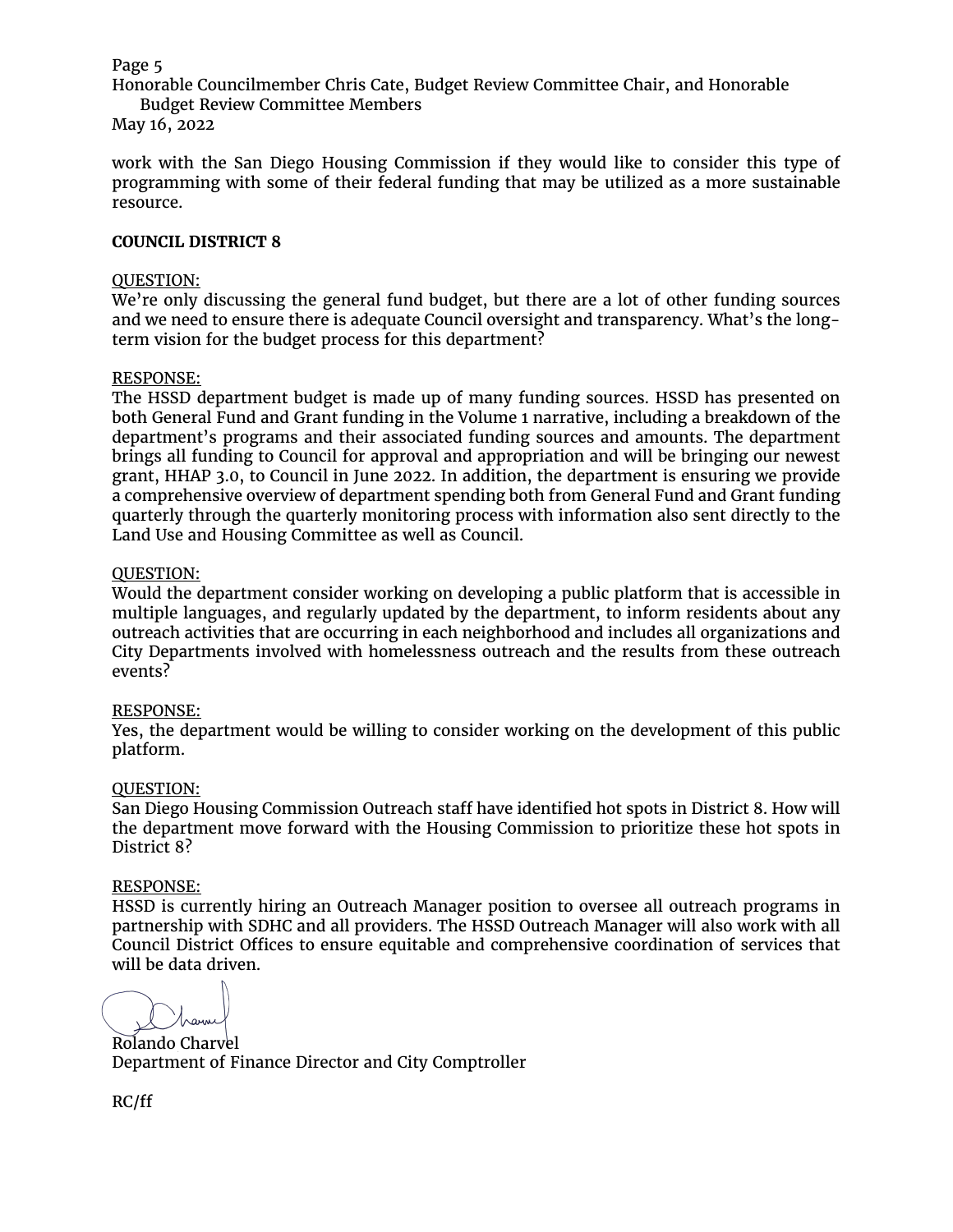Honorable Councilmember Chris Cate, Budget Review Committee Chair, and Honorable Budget Review Committee Members

## May 16, 2022

work with the San Diego Housing Commission if they would like to consider this type of programming with some of their federal funding that may be utilized as a more sustainable resource.

#### **COUNCIL DISTRICT 8**

#### QUESTION:

We're only discussing the general fund budget, but there are a lot of other funding sources and we need to ensure there is adequate Council oversight and transparency. What's the longterm vision for the budget process for this department?

#### RESPONSE:

The HSSD department budget is made up of many funding sources. HSSD has presented on both General Fund and Grant funding in the Volume 1 narrative, including a breakdown of the department's programs and their associated funding sources and amounts. The department brings all funding to Council for approval and appropriation and will be bringing our newest grant, HHAP 3.0, to Council in June 2022. In addition, the department is ensuring we provide a comprehensive overview of department spending both from General Fund and Grant funding quarterly through the quarterly monitoring process with information also sent directly to the Land Use and Housing Committee as well as Council.

### QUESTION:

Would the department consider working on developing a public platform that is accessible in multiple languages, and regularly updated by the department, to inform residents about any outreach activities that are occurring in each neighborhood and includes all organizations and City Departments involved with homelessness outreach and the results from these outreach events?

## RESPONSE:

Yes, the department would be willing to consider working on the development of this public platform.

#### QUESTION:

San Diego Housing Commission Outreach staff have identified hot spots in District 8. How will the department move forward with the Housing Commission to prioritize these hot spots in District 8?

#### RESPONSE:

HSSD is currently hiring an Outreach Manager position to oversee all outreach programs in partnership with SDHC and all providers. The HSSD Outreach Manager will also work with all Council District Offices to ensure equitable and comprehensive coordination of services that will be data driven.

Rolando Charvel Department of Finance Director and City Comptroller

RC/ff